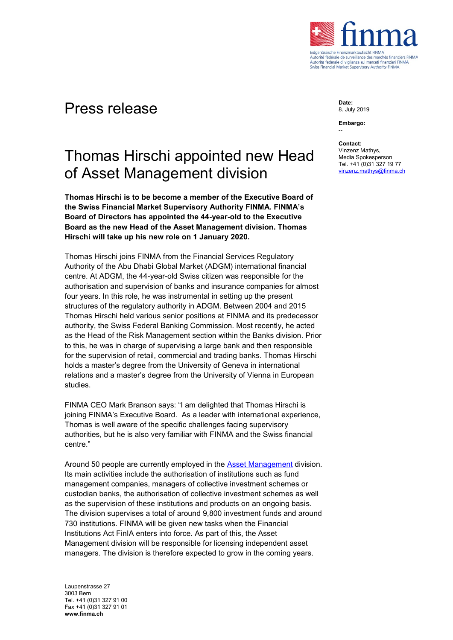

## Press release

## Thomas Hirschi appointed new Head of Asset Management division

**Thomas Hirschi is to be become a member of the Executive Board of the Swiss Financial Market Supervisory Authority FINMA. FINMA's Board of Directors has appointed the 44-year-old to the Executive Board as the new Head of the Asset Management division. Thomas Hirschi will take up his new role on 1 January 2020.**

Thomas Hirschi joins FINMA from the Financial Services Regulatory Authority of the Abu Dhabi Global Market (ADGM) international financial centre. At ADGM, the 44-year-old Swiss citizen was responsible for the authorisation and supervision of banks and insurance companies for almost four years. In this role, he was instrumental in setting up the present structures of the regulatory authority in ADGM. Between 2004 and 2015 Thomas Hirschi held various senior positions at FINMA and its predecessor authority, the Swiss Federal Banking Commission. Most recently, he acted as the Head of the Risk Management section within the Banks division. Prior to this, he was in charge of supervising a large bank and then responsible for the supervision of retail, commercial and trading banks. Thomas Hirschi holds a master's degree from the University of Geneva in international relations and a master's degree from the University of Vienna in European studies.

FINMA CEO Mark Branson says: "I am delighted that Thomas Hirschi is joining FINMA's Executive Board. As a leader with international experience, Thomas is well aware of the specific challenges facing supervisory authorities, but he is also very familiar with FINMA and the Swiss financial centre."

Around 50 people are currently employed in the [Asset Management](https://www.finma.ch/en/finma/organisation/finma-s-divisions/asset-management-division/) division. Its main activities include the authorisation of institutions such as fund management companies, managers of collective investment schemes or custodian banks, the authorisation of collective investment schemes as well as the supervision of these institutions and products on an ongoing basis. The division supervises a total of around 9,800 investment funds and around 730 institutions. FINMA will be given new tasks when the Financial Institutions Act FinIA enters into force. As part of this, the Asset Management division will be responsible for licensing independent asset managers. The division is therefore expected to grow in the coming years.

Laupenstrasse 27 3003 Bern Tel. +41 (0)31 327 91 00 Fax +41 (0)31 327 91 01 **www.finma.ch**

**Date:** 8. July 2019

**Embargo:** --

**Contact:**

Vinzenz Mathys, Media Spokesperson Tel. +41 (0)31 327 19 77 [vinzenz.mathys@finma.ch](mailto:vinzenz.mathys@finma.ch)